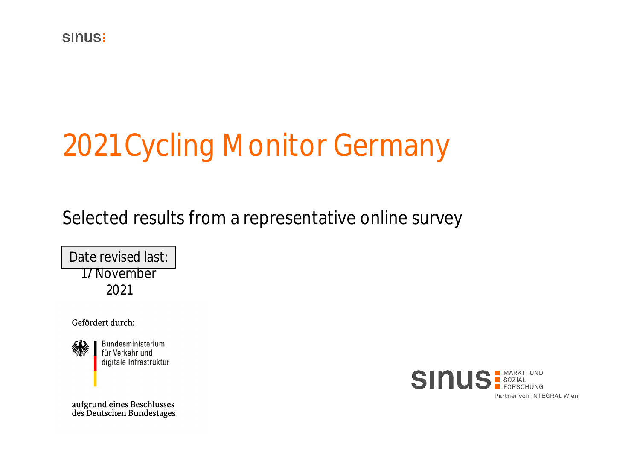# 2021 Cycling Monitor Germany

Selected results from a representative online survey

Date revised last: 17 November 2021

Gefördert durch:



Bundesministerium für Verkehr und digitale Infrastruktur



aufgrund eines Beschlusses<br>des Deutschen Bundestages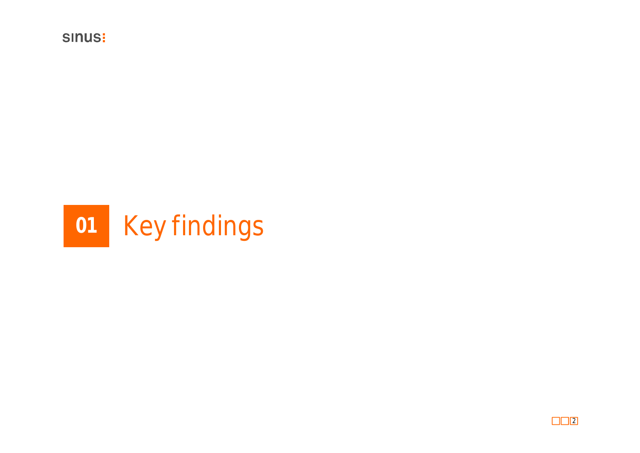

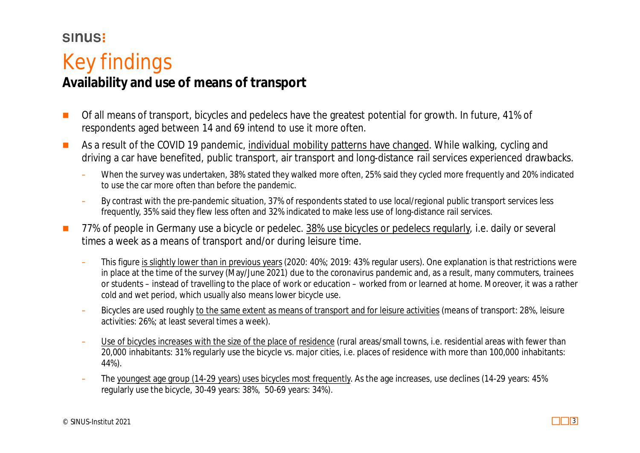#### **SINUS!**

### Key findings

#### **Availability and use of means of transport**

- Of all means of transport, bicycles and pedelecs have the greatest potential for growth. In future, 41% of respondents aged between 14 and 69 intend to use it more often.
- As a result of the COVID 19 pandemic, individual mobility patterns have changed. While walking, cycling and driving a car have benefited, public transport, air transport and long-distance rail services experienced drawbacks.
	- When the survey was undertaken, 38% stated they walked more often, 25% said they cycled more frequently and 20% indicated to use the car more often than before the pandemic.
	- By contrast with the pre-pandemic situation, 37% of respondents stated to use local/regional public transport services less frequently, 35% said they flew less often and 32% indicated to make less use of long-distance rail services.
- 77% of people in Germany use a bicycle or pedelec. 38% use bicycles or pedelecs regularly, i.e. daily or several times a week as a means of transport and/or during leisure time.
	- This figure is slightly lower than in previous years (2020: 40%; 2019: 43% regular users). One explanation is that restrictions were in place at the time of the survey (May/June 2021) due to the coronavirus pandemic and, as a result, many commuters, trainees or students – instead of travelling to the place of work or education – worked from or learned at home. Moreover, it was a rather cold and wet period, which usually also means lower bicycle use.
	- Bicycles are used roughly to the same extent as means of transport and for leisure activities (means of transport: 28%, leisure activities: 26%; at least several times a week).
	- Use of bicycles increases with the size of the place of residence (rural areas/small towns, i.e. residential areas with fewer than 20,000 inhabitants: 31% regularly use the bicycle vs. major cities, i.e. places of residence with more than 100,000 inhabitants: 44%).
	- The youngest age group (14-29 years) uses bicycles most frequently. As the age increases, use declines (14-29 years: 45% regularly use the bicycle, 30-49 years: 38%, 50-69 years: 34%).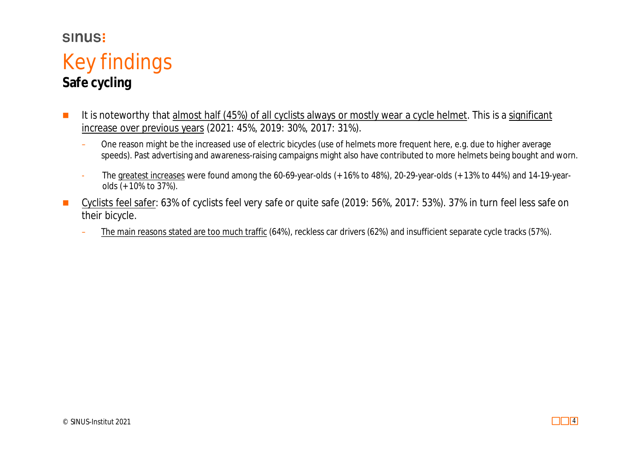### Key findings **Safe cycling**

- It is noteworthy that almost half (45%) of all cyclists always or mostly wear a cycle helmet. This is a significant increase over previous years (2021: 45%, 2019: 30%, 2017: 31%).
	- One reason might be the increased use of electric bicycles (use of helmets more frequent here, e.g. due to higher average speeds). Past advertising and awareness-raising campaigns might also have contributed to more helmets being bought and worn.
	- The greatest increases were found among the 60-69-year-olds (+ 16% to 48%), 20-29-year-olds (+ 13% to 44%) and 14-19-yearolds (+ 10% to 37%).
- Cyclists feel safer: 63% of cyclists feel very safe or quite safe (2019: 56%, 2017: 53%). 37% in turn feel less safe on their bicycle.
	- The main reasons stated are too much traffic (64%), reckless car drivers (62%) and insufficient separate cycle tracks (57%).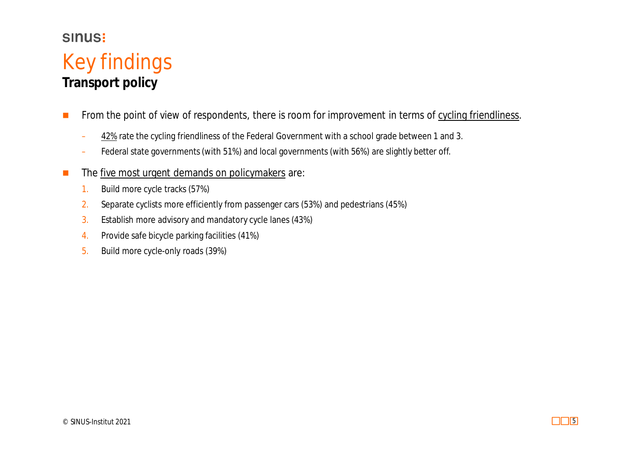### Key findings **Transport policy**

- From the point of view of respondents, there is room for improvement in terms of cycling friendliness.
	- 42% rate the cycling friendliness of the Federal Government with a school grade between 1 and 3.
	- Federal state governments (with 51%) and local governments (with 56%) are slightly better off.
- $\blacksquare$  The five most urgent demands on policymakers are:
	- 1. Build more cycle tracks (57%)
	- 2. Separate cyclists more efficiently from passenger cars (53%) and pedestrians (45%)
	- 3. Establish more advisory and mandatory cycle lanes (43%)
	- 4. Provide safe bicycle parking facilities (41%)
	- 5. Build more cycle-only roads (39%)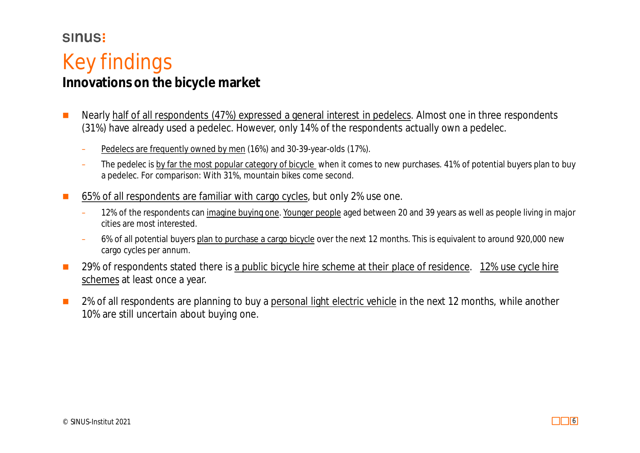#### **SINUS!**

### Key findings

### **Innovations on the bicycle market**

- Nearly half of all respondents (47%) expressed a general interest in pedelecs. Almost one in three respondents (31%) have already used a pedelec. However, only 14% of the respondents actually own a pedelec.
	- Pedelecs are frequently owned by men (16%) and 30-39-year-olds (17%).
	- The pedelec is by far the most popular category of bicycle when it comes to new purchases. 41% of potential buyers plan to buy a pedelec. For comparison: With 31%, mountain bikes come second.
- 65% of all respondents are familiar with cargo cycles, but only 2% use one.
	- 12% of the respondents can imagine buying one. Younger people aged between 20 and 39 years as well as people living in major cities are most interested.
	- 6% of all potential buyers plan to purchase a cargo bicycle over the next 12 months. This is equivalent to around 920,000 new cargo cycles per annum.
- 29% of respondents stated there is a public bicycle hire scheme at their place of residence. 12% use cycle hire schemes at least once a year.
- 2% of all respondents are planning to buy a personal light electric vehicle in the next 12 months, while another 10% are still uncertain about buying one.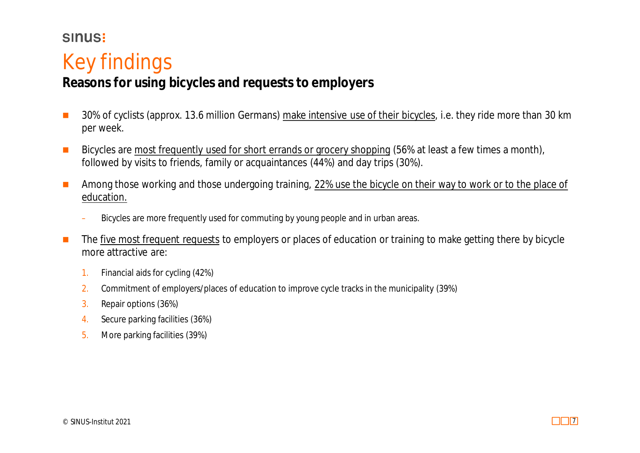### Key findings

#### **Reasons for using bicycles and requests to employers**

- 30% of cyclists (approx. 13.6 million Germans) make intensive use of their bicycles, i.e. they ride more than 30 km per week.
- Bicycles are most frequently used for short errands or grocery shopping (56% at least a few times a month), followed by visits to friends, family or acquaintances (44%) and day trips (30%).
- **Among those working and those undergoing training, 22% use the bicycle on their way to work or to the place of** education.
	- Bicycles are more frequently used for commuting by young people and in urban areas.
- The five most frequent requests to employers or places of education or training to make getting there by bicycle more attractive are:
	- 1. Financial aids for cycling (42%)
	- 2. Commitment of employers/places of education to improve cycle tracks in the municipality (39%)
	- 3. Repair options (36%)
	- 4. Secure parking facilities (36%)
	- 5. More parking facilities (39%)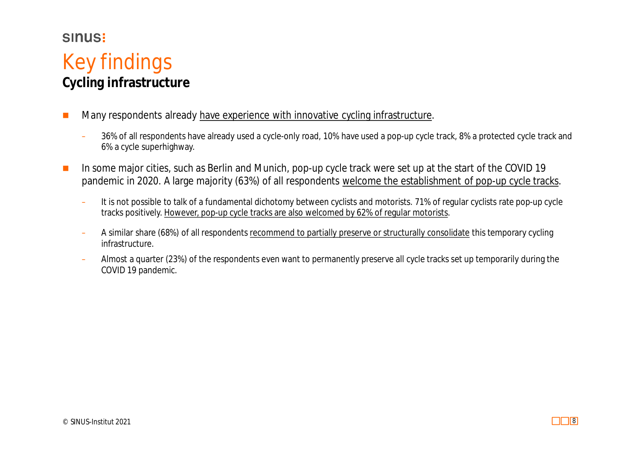### Key findings **Cycling infrastructure**

- **Many respondents already have experience with innovative cycling infrastructure.** 
	- 36% of all respondents have already used a cycle-only road, 10% have used a pop-up cycle track, 8% a protected cycle track and 6% a cycle superhighway.
- In some major cities, such as Berlin and Munich, pop-up cycle track were set up at the start of the COVID 19 pandemic in 2020. A large majority (63%) of all respondents welcome the establishment of pop-up cycle tracks.
	- It is not possible to talk of a fundamental dichotomy between cyclists and motorists. 71% of regular cyclists rate pop-up cycle tracks positively. However, pop-up cycle tracks are also welcomed by 62% of regular motorists.
	- A similar share (68%) of all respondents recommend to partially preserve or structurally consolidate this temporary cycling infrastructure.
	- Almost a quarter (23%) of the respondents even want to permanently preserve all cycle tracks set up temporarily during the COVID 19 pandemic.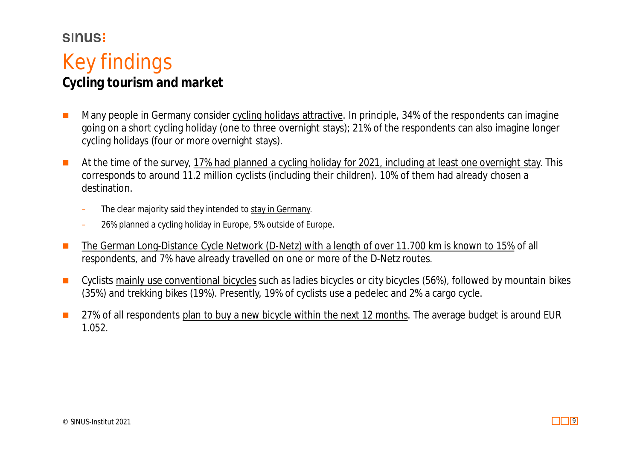#### **SINUS!**

### Key findings

**Cycling tourism and market**

- Many people in Germany consider cycling holidays attractive. In principle, 34% of the respondents can imagine going on a short cycling holiday (one to three overnight stays); 21% of the respondents can also imagine longer cycling holidays (four or more overnight stays).
- At the time of the survey, 17% had planned a cycling holiday for 2021, including at least one overnight stay. This corresponds to around 11.2 million cyclists (including their children). 10% of them had already chosen a destination.
	- The clear majority said they intended to stay in Germany.
	- 26% planned a cycling holiday in Europe, 5% outside of Europe.
- The German Long-Distance Cycle Network (D-Netz) with a length of over 11.700 km is known to 15% of all respondents, and 7% have already travelled on one or more of the D-Netz routes.
- Cyclists mainly use conventional bicycles such as ladies bicycles or city bicycles (56%), followed by mountain bikes (35%) and trekking bikes (19%). Presently, 19% of cyclists use a pedelec and 2% a cargo cycle.
- 27% of all respondents plan to buy a new bicycle within the next 12 months. The average budget is around EUR 1.052.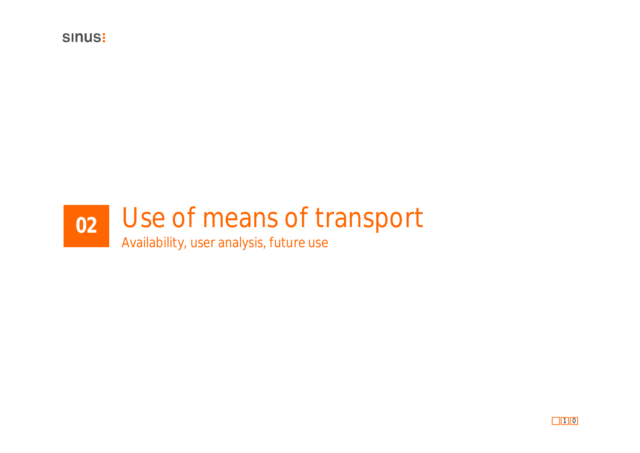

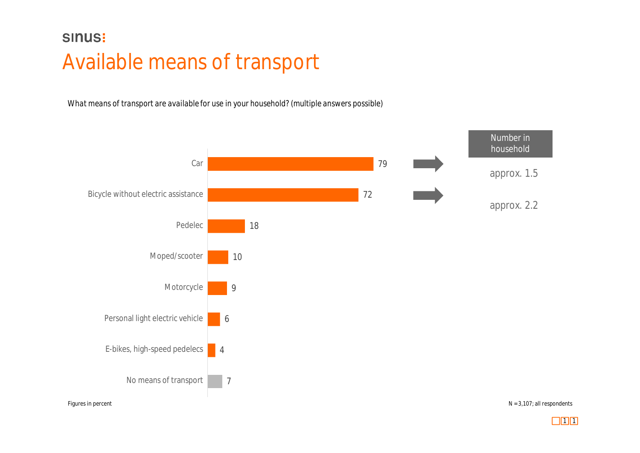### **SINUS:** Available means of transport

*What means of transport are available for use in your household? (multiple answers possible)*



 $\Box$ 1 1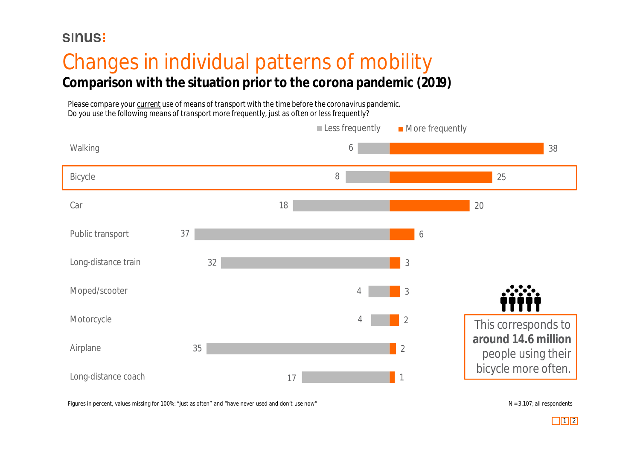### **Comparison with the situation prior to the corona pandemic (2019)** Changes in individual patterns of mobility

*Please compare your current use of means of transport with the time before the coronavirus pandemic. Do you use the following means of transport more frequently, just as often or less frequently?*

|                     |    |        | Less frequently | More frequently |                                           |
|---------------------|----|--------|-----------------|-----------------|-------------------------------------------|
| Walking             |    |        | 6               |                 | 38                                        |
| Bicycle             |    | $\, 8$ |                 |                 | 25                                        |
| Car                 |    | 18     |                 |                 | 20                                        |
| Public transport    | 37 |        |                 | 6               |                                           |
| Long-distance train | 32 |        |                 | $\mathfrak{Z}$  |                                           |
| Moped/scooter       |    |        | $\overline{4}$  | $\mathcal{S}$   |                                           |
| Motorcycle          |    |        | 4               | $\overline{2}$  | This corresponds to                       |
| Airplane            | 35 |        |                 | $\overline{2}$  | around 14.6 million<br>people using their |
| Long-distance coach |    | 17     |                 | $\mathbf{1}$    | bicycle more often.                       |

Figures in percent, values missing for 100%: "just as often" and "have never used and don't use now" N = 3,107; all respondents

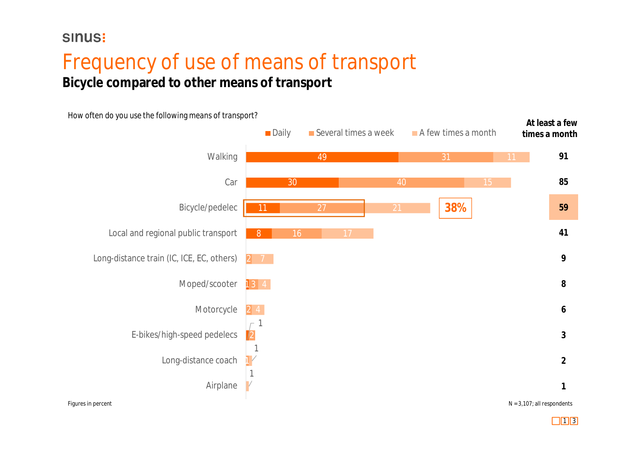### Frequency of use of means of transport **Bicycle compared to other means of transport**

*How often do you use the following means of transport?*



 $\Box$ 1 3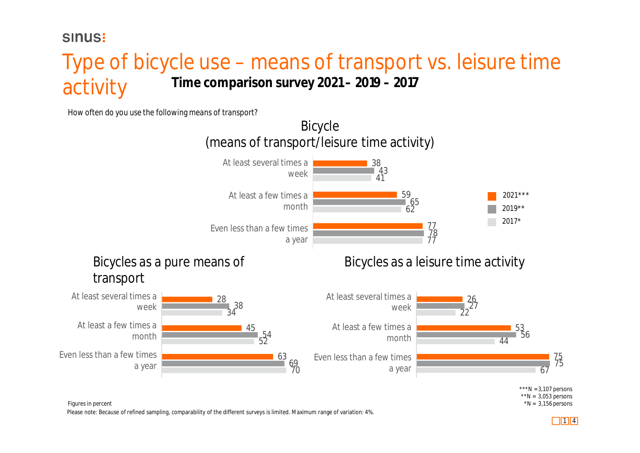#### **SINUS!**

### Type of bicycle use – means of transport vs. leisure time activity **Time comparison survey 2021 – 2019 – 2017**

*How often do you use the following means of transport?*



Figures in percent \*N = 3,156 persons

Please note: Because of refined sampling, comparability of the different surveys is limited. Maximum range of variation: 4%.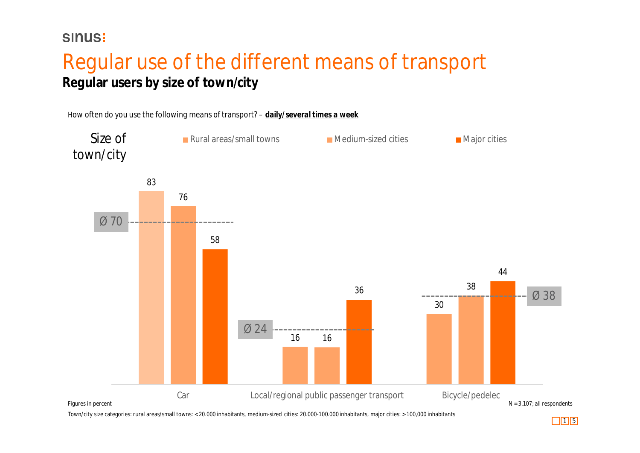### Regular use of the different means of transport **Regular users by size of town/city**



Town/city size categories: rural areas/small towns: < 20.000 inhabitants, medium-sized cities: 20.000-100.000 inhabitants, major cities: > 100,000 inhabitants

 $\Box$ 15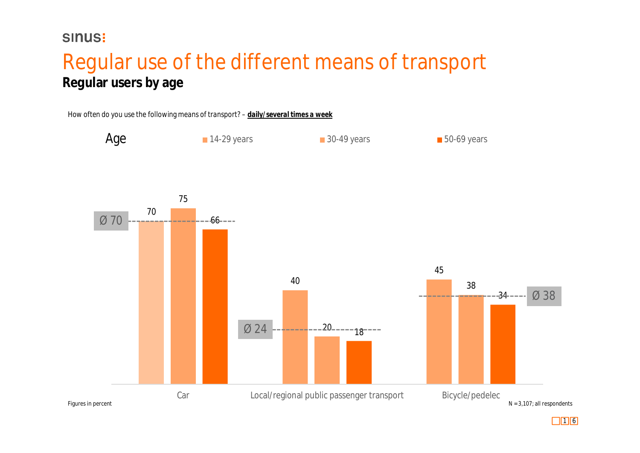### Regular use of the different means of transport **Regular users by age**



 $\Box$ 1 6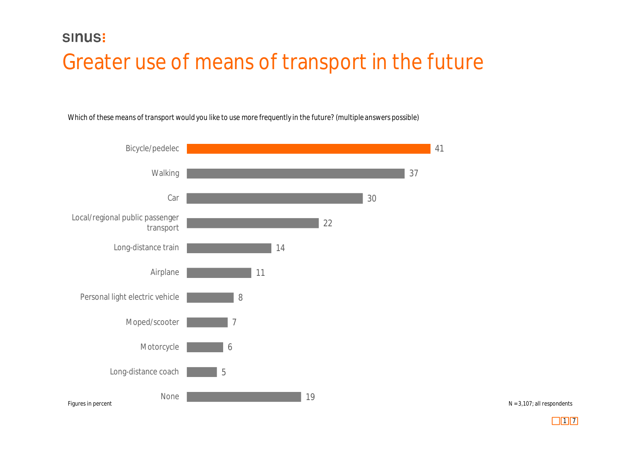### **SINUS:** Greater use of means of transport in the future

*Which of these means of transport would you like to use more frequently in the future? (multiple answers possible)*



 $N = 3,107$ ; all respondents

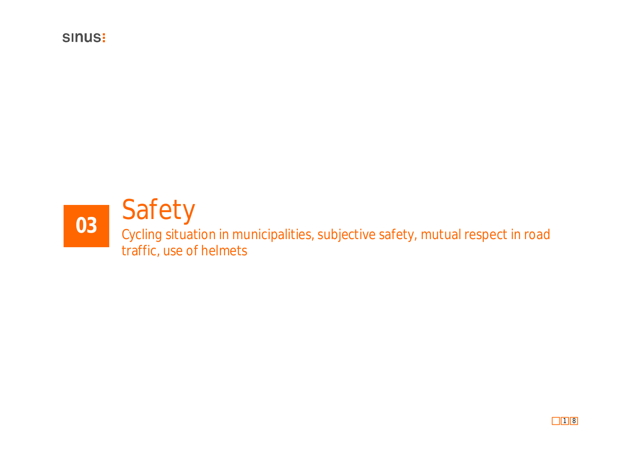

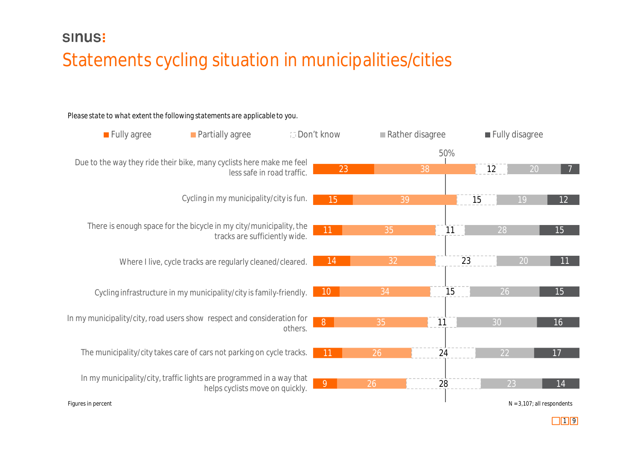### Statements cycling situation in municipalities/cities

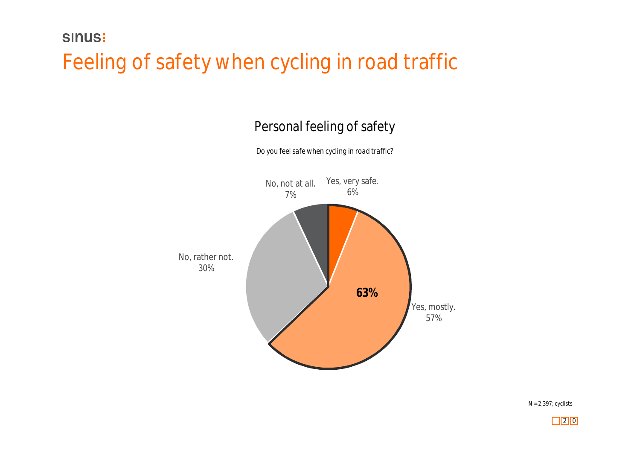### Feeling of safety when cycling in road traffic

### Personal feeling of safety



*Do you feel safe when cycling in road traffic?*

N = 2,397; cyclists

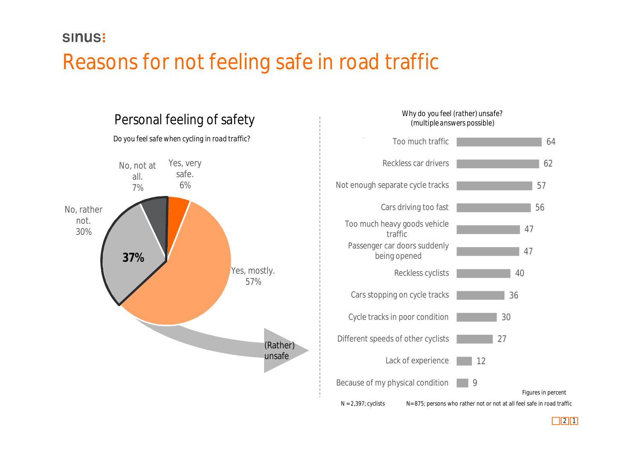### Reasons for not feeling safe in road traffic



### *Why do you feel (rather) unsafe?*

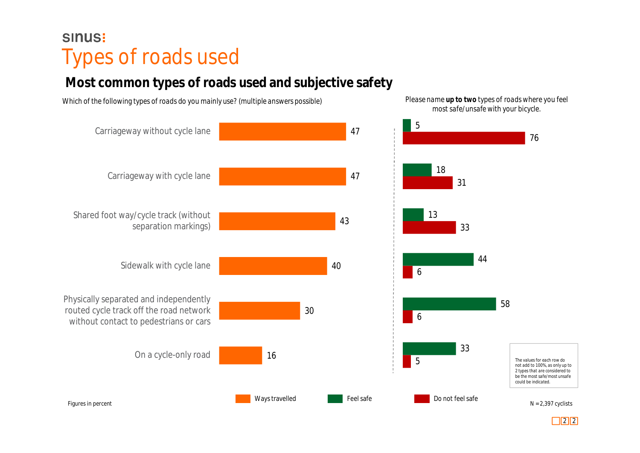### **SINUS:** Types of roads used

### **Most common types of roads used and subjective safety**

47 47 43 40 30 16 Carriageway without cycle lane Carriageway with cycle lane Shared foot way/cycle track (without separation markings) Sidewalk with cycle lane Physically separated and independently routed cycle track off the road network without contact to pedestrians or cars On a cycle-only road *Which of the following types of roads do you mainly use? (multiple answers possible)* 5 18 13 44 58 33 76 31 33 6 6 5 *most safe/unsafe with your bicycle. The values for each row do not add to 100%, as only up to 2 types that are considered to*

*Please name up to two types of roads where you feel*

Ways travelled **Feel safe** Feel safe Do not feel safe

Figures in percent

 $\boxed{2}$ 

 $N = 2,397$  cyclists

*be the most safe/most unsafe could be indicated.*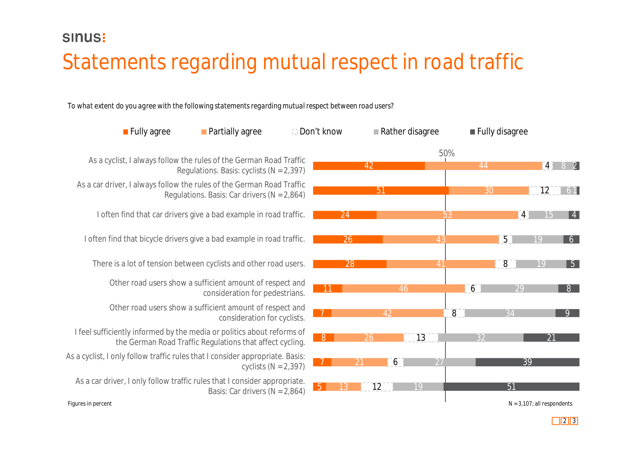### Statements regarding mutual respect in road traffic

*To what extent do you agree with the following statements regarding mutual respect between road users?*

| <b>Fully agree</b>                                                            | <b>Partially agree</b>                                                                     | <b>Don't know</b> | Rather disagree |                 |                  | Fully disagree  |                               |                 |
|-------------------------------------------------------------------------------|--------------------------------------------------------------------------------------------|-------------------|-----------------|-----------------|------------------|-----------------|-------------------------------|-----------------|
| As a cyclist, I always follow the rules of the German Road Traffic            | Regulations. Basis: cyclists $(N = 2,397)$                                                 |                   | 42              | 50%             | 44               |                 | $\vert 4 \vert$               | $8$ 2           |
| As a car driver, I always follow the rules of the German Road Traffic         | Regulations. Basis: Car drivers ( $N = 2,864$ )                                            |                   | 51              |                 | 30               |                 | $\overline{12}$               | 6 1             |
| I often find that car drivers give a bad example in road traffic.             |                                                                                            | 24                |                 | 53              |                  | 4               |                               | $\vert 4 \vert$ |
| I often find that bicycle drivers give a bad example in road traffic.         |                                                                                            | $\overline{26}$   |                 | 43              |                  | $\overline{5}$  | 19                            | 6               |
| There is a lot of tension between cyclists and other road users.              |                                                                                            | 28                |                 | 41              |                  | $\overline{8}$  |                               | 5               |
|                                                                               | Other road users show a sufficient amount of respect and<br>consideration for pedestrians. | $-11$             | 46              |                 | $6 \overline{6}$ | 29              |                               | 8 <sup>1</sup>  |
|                                                                               | Other road users show a sufficient amount of respect and<br>consideration for cyclists.    |                   | 42              |                 | $\overline{8}$   | 34              |                               |                 |
| I feel sufficiently informed by the media or politics about reforms of        | the German Road Traffic Regulations that affect cycling.                                   | 8 <sup>1</sup>    | $\overline{26}$ | $\overline{13}$ | 32               |                 |                               |                 |
| As a cyclist, I only follow traffic rules that I consider appropriate. Basis: | cyclists ( $N = 2,397$ )                                                                   | 21                | 6 <sup>2</sup>  | $\overline{27}$ |                  | $\overline{39}$ |                               |                 |
| As a car driver, I only follow traffic rules that I consider appropriate.     | Basis: Car drivers ( $N = 2,864$ )                                                         | 5                 | $\overline{12}$ | 19              |                  | 51              |                               |                 |
| Figures in percent                                                            |                                                                                            |                   |                 |                 |                  |                 | $N = 3,107$ ; all respondents |                 |

As a cyclist, I

 $\boxed{2}$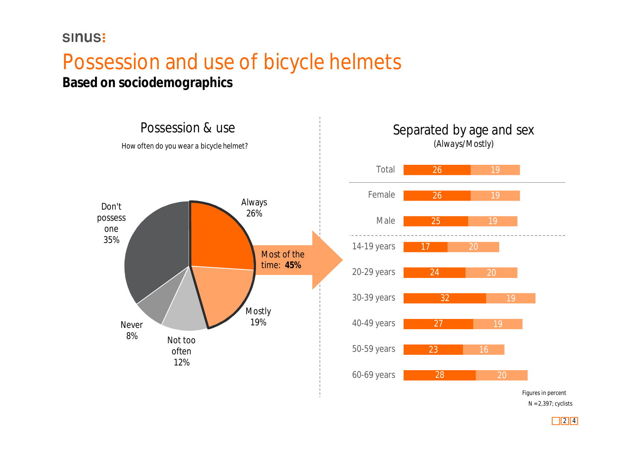### Possession and use of bicycle helmets

**Based on sociodemographics**



N = 2,397; cyclists Figures in percent

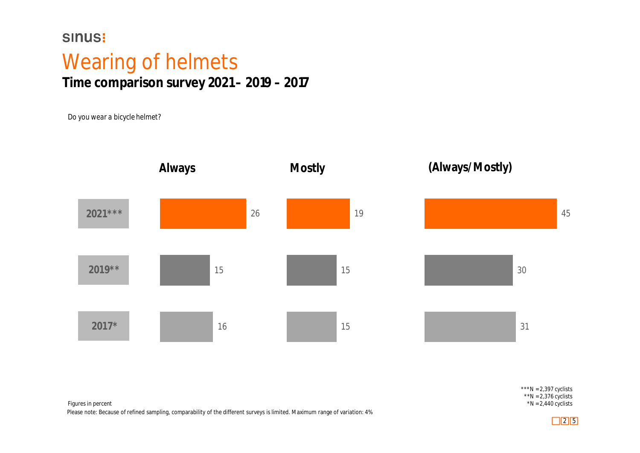### Wearing of helmets **Time comparison survey 2021 – 2019 – 2017**

*Do you wear a bicycle helmet?*



\*\*\*N =  $2,397$  cyclists  $*N = 2,376$  cyclists  $N = 2,440$  cyclists

Figures in percent Please note: Because of refined sampling, comparability of the different surveys is limited. Maximum range of variation: 4%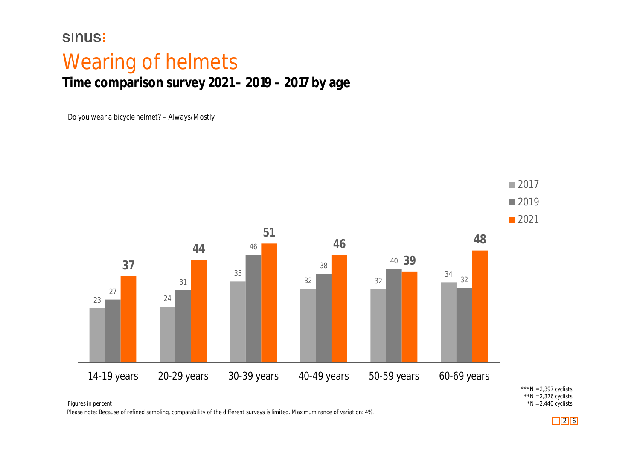Figures in percent

### Wearing of helmets **Time comparison survey 2021 – 2019 – 2017 by age**

*Do you wear a bicycle helmet? – Always/Mostly*



<sup>\*\*\*</sup>N =  $2,397$  cyclists  $*$ N = 2,376 cyclists  $*N = 2,440$  cyclists

Please note: Because of refined sampling, comparability of the different surveys is limited. Maximum range of variation: 4%.

2 6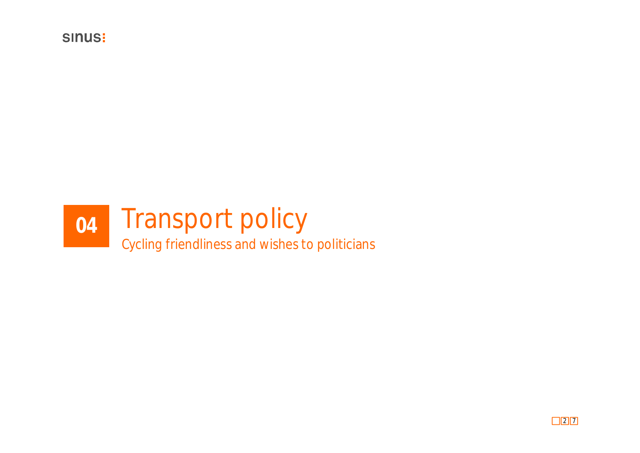

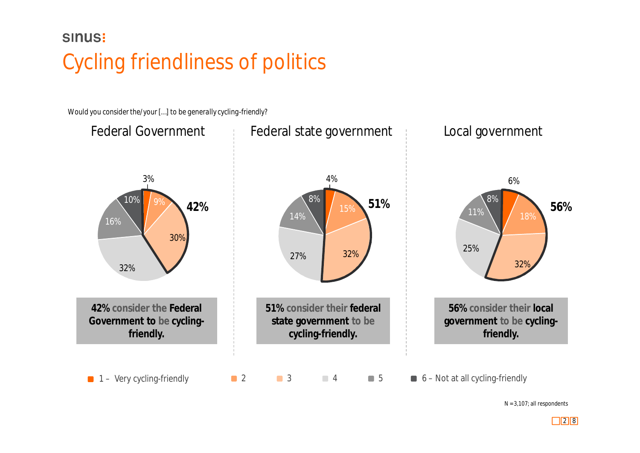### **SINUS:** Cycling friendliness of politics

*Would you consider the/your […] to be generally cycling-friendly?*



 $N = 3,107$ ; all respondents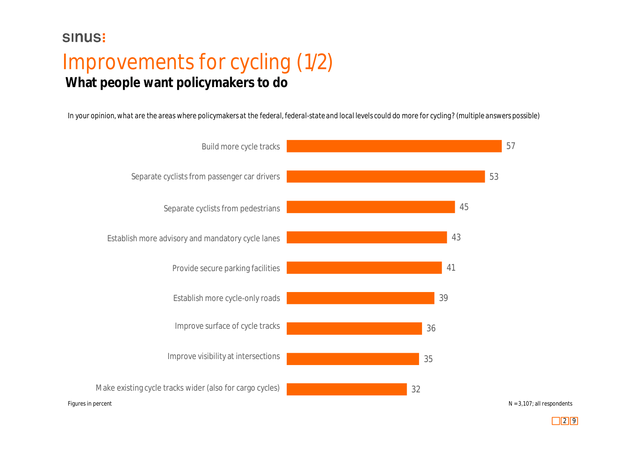### Improvements for cycling (1/2) **What people want policymakers to do**

*In your opinion, what are the areas where policymakers at the federal, federal-state and local levels could do more for cycling? (multiple answers possible)*



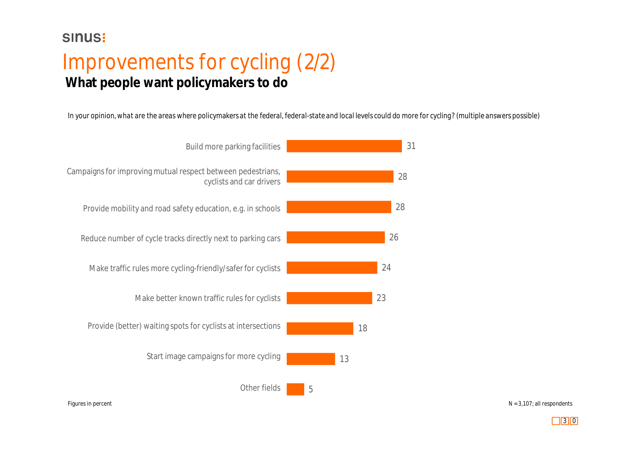### Improvements for cycling (2/2) **What people want policymakers to do**

*In your opinion, what are the areas where policymakers at the federal, federal-state and local levels could do more for cycling? (multiple answers possible)*



Figures in percent  $N = 3.107$ ; all respondents

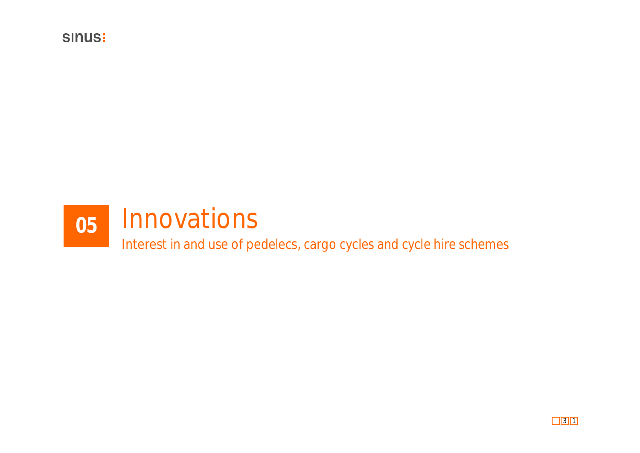

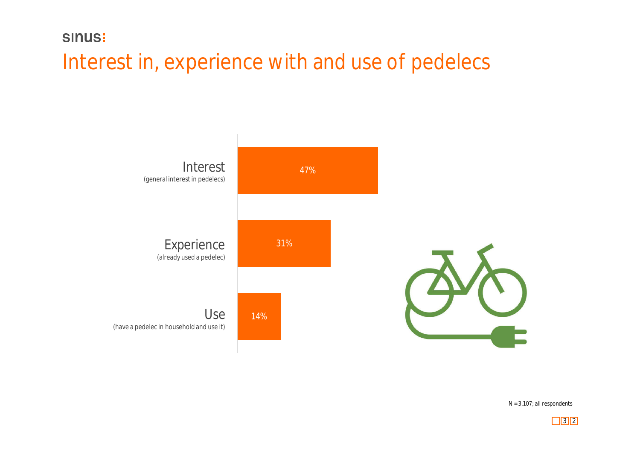### Interest in, experience with and use of pedelecs



 $N = 3,107$ ; all respondents

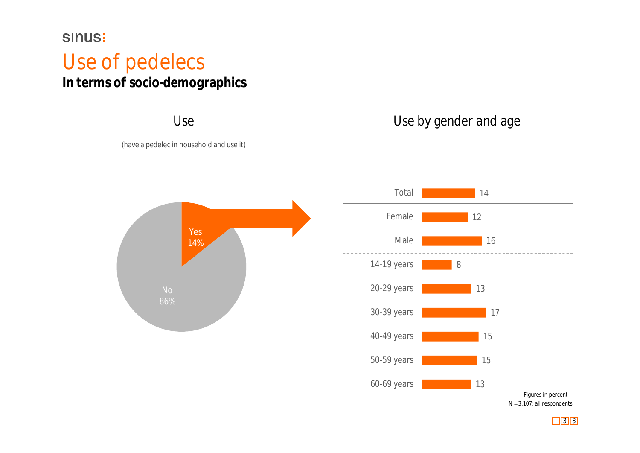### Use of pedelecs **In terms of socio-demographics**



### Use by gender and age



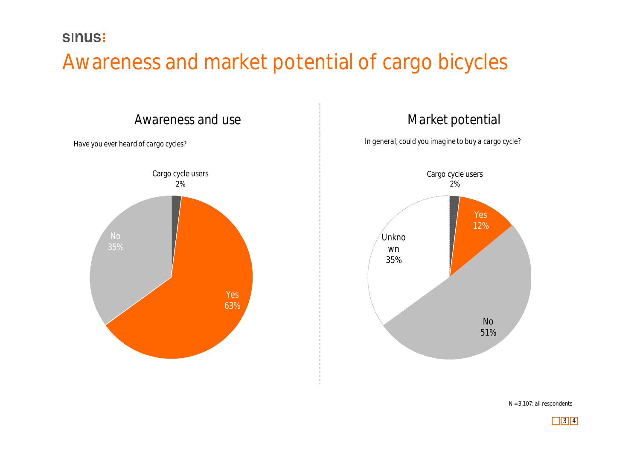### Awareness and market potential of cargo bicycles



### Market potential

*In general, could you imagine to buy a cargo cycle?*



 $N = 3,107$ ; all respondents

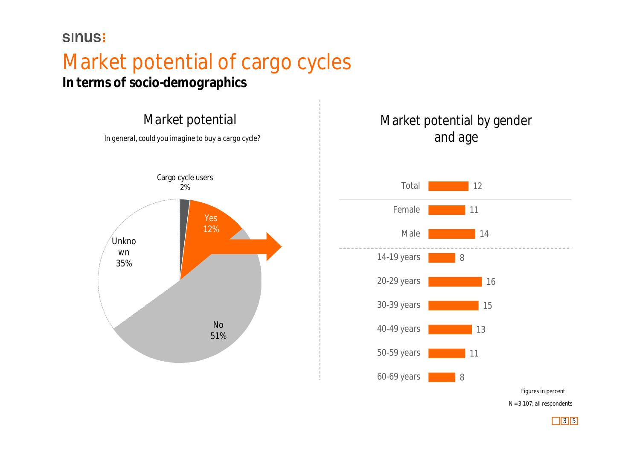### Market potential of cargo cycles

**In terms of socio-demographics**





 $N = 3,107$ ; all respondents

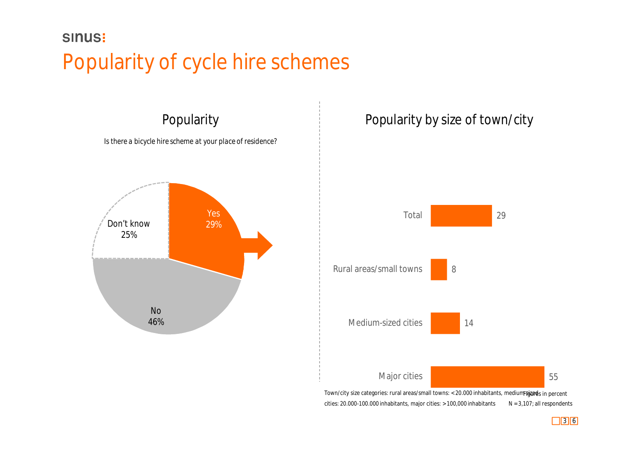### **SINUS:** Popularity of cycle hire schemes



#### Popularity by size of town/city



 $N = 3,107$ ; all respondents cities: 20.000-100.000 inhabitants, major cities: > 100,000 inhabitants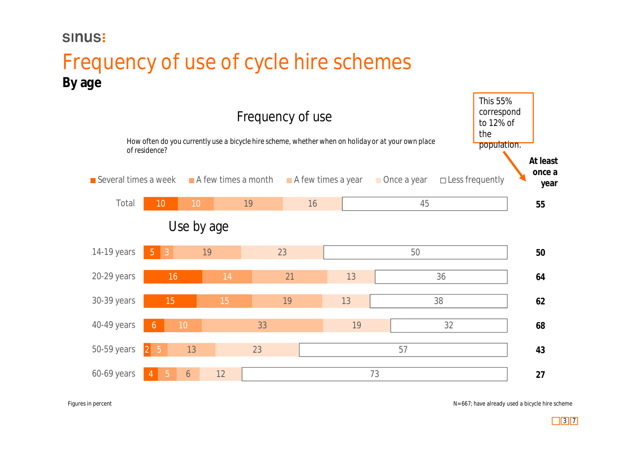### Frequency of use of cycle hire schemes **By age**



Figures in percent

N= 667; have already used a bicycle hire scheme

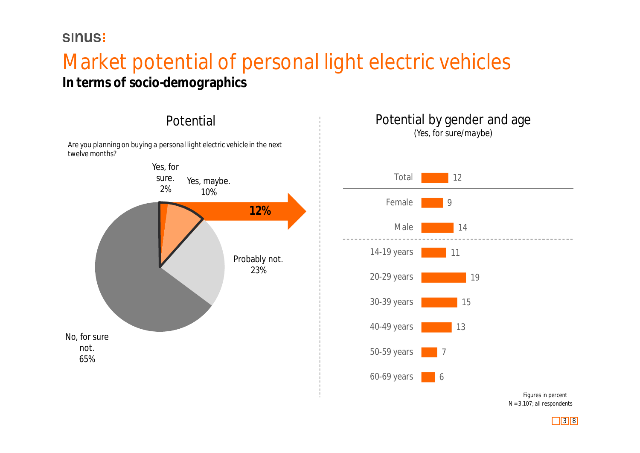## Market potential of personal light electric vehicles

**In terms of socio-demographics**



#### Potential by gender and age *(Yes, for sure/maybe)*



 $N = 3,107$ ; all respondents

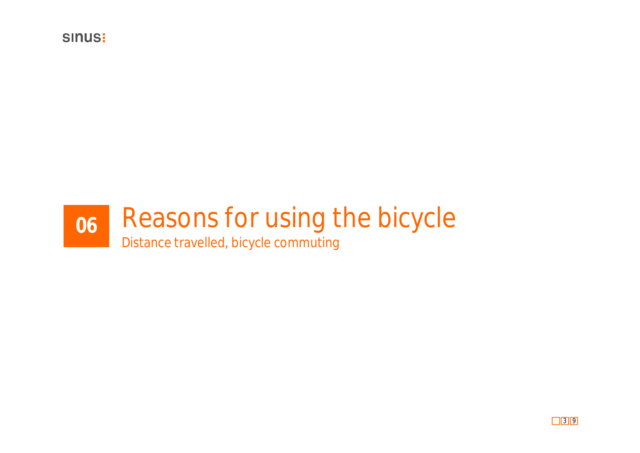

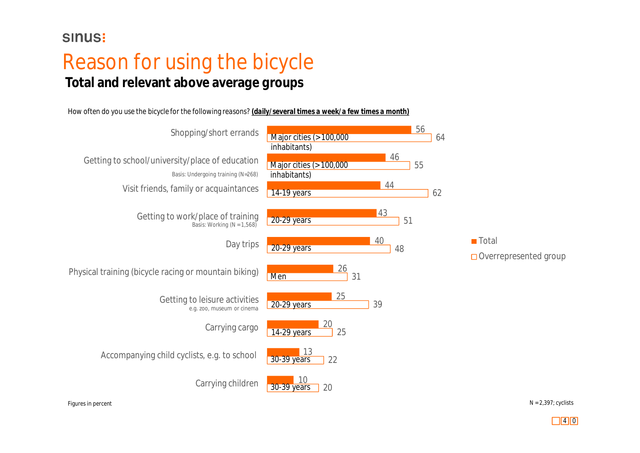### Reason for using the bicycle **Total and relevant above average groups**

*How often do you use the bicycle for the following reasons? (daily/several times a week/a few times a month)*



Figures in percent

 $N = 2,397$ ; cyclists

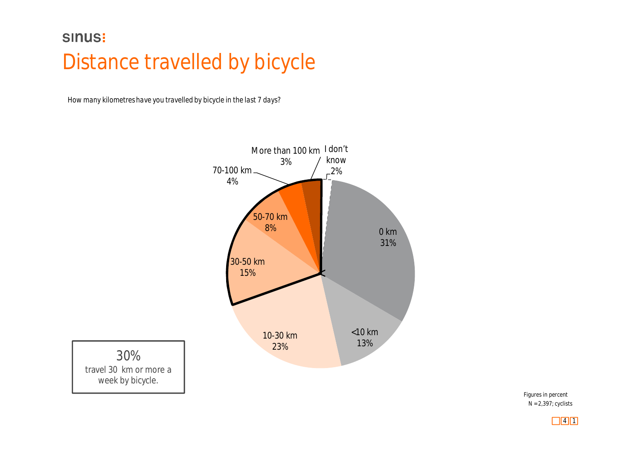### **SINUS:** Distance travelled by bicycle

*How many kilometres have you travelled by bicycle in the last 7 days?*



30% travel 30 km or more a week by bicycle.

> N = 2,397; cyclists Figures in percent

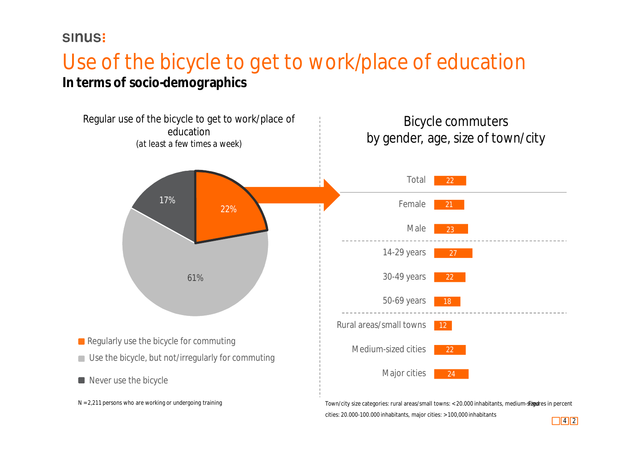#### **SINUS!**

### Use of the bicycle to get to work/place of education **In terms of socio-demographics**



 $\boxed{4}$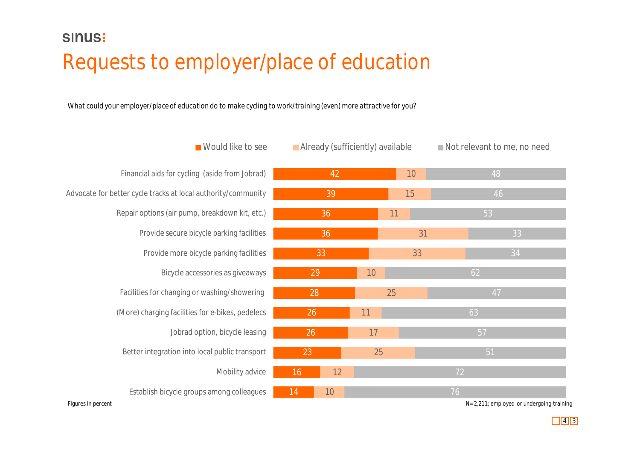### **SINUS:** Requests to employer/place of education

*What could your employer/place of education do to make cycling to work/training (even) more attractive for you?*

|                    | ■ Would like to see                                           | Already (sufficiently) available |    |    |    | Not relevant to me, no need |                                           |  |
|--------------------|---------------------------------------------------------------|----------------------------------|----|----|----|-----------------------------|-------------------------------------------|--|
|                    | Financial aids for cycling (aside from Jobrad)                | 42                               |    | 10 |    |                             | 48                                        |  |
|                    | Advocate for better cycle tracks at local authority/community | 39                               |    |    | 15 |                             | 46                                        |  |
|                    | Repair options (air pump, breakdown kit, etc.)                | 36                               |    |    | 11 |                             | 53                                        |  |
|                    | Provide secure bicycle parking facilities                     | 36                               |    |    | 31 |                             | 33                                        |  |
|                    | Provide more bicycle parking facilities                       | 33                               |    | 33 |    |                             | 34                                        |  |
|                    | Bicycle accessories as giveaways                              | 29                               |    | 10 |    |                             | 62                                        |  |
|                    | Facilities for changing or washing/showering                  | 28                               |    | 25 |    |                             | 47                                        |  |
|                    | (More) charging facilities for e-bikes, pedelecs              | 26                               |    | 11 |    |                             | 63                                        |  |
|                    | Jobrad option, bicycle leasing                                | 26                               |    | 17 |    |                             | 57                                        |  |
|                    | Better integration into local public transport                | 23                               |    | 25 |    |                             | 51                                        |  |
|                    | Mobility advice                                               | 16                               | 12 |    |    | 72                          |                                           |  |
|                    | Establish bicycle groups among colleagues                     | 14                               | 10 |    |    | 76                          |                                           |  |
| Figures in percent |                                                               |                                  |    |    |    |                             | N= 2,211; employed or undergoing training |  |

 $\boxed{4}$ 

igures in percent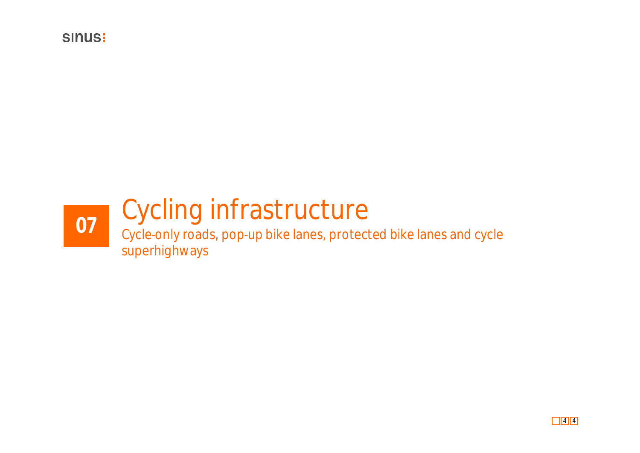

## Cycling infrastructure

Cycle-only roads, pop-up bike lanes, protected bike lanes and cycle **07**superhighways

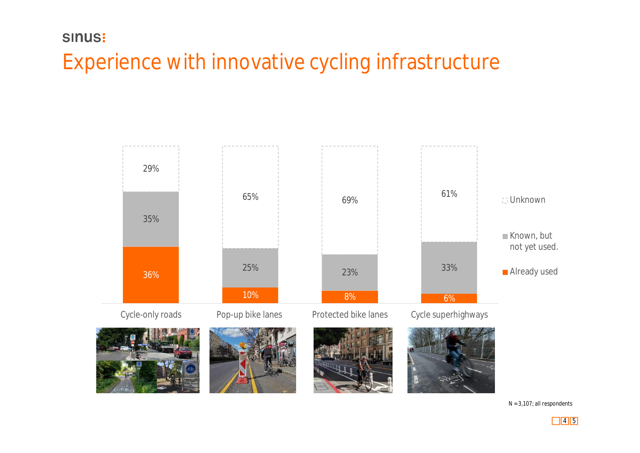### Experience with innovative cycling infrastructure



 $N = 3,107$ ; all respondents

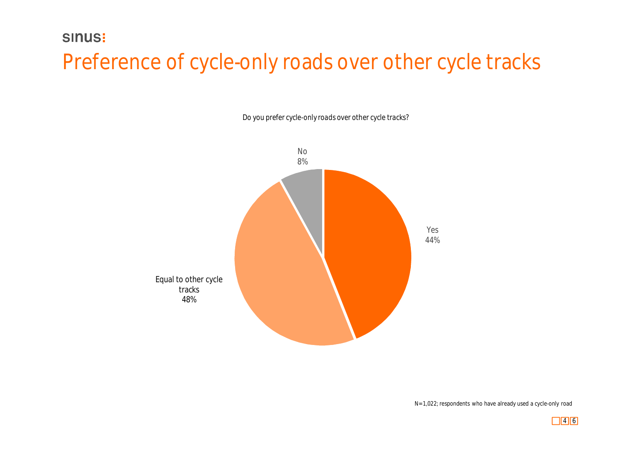### Preference of cycle-only roads over other cycle tracks

*Do you prefer cycle-only roads over other cycle tracks?*



N= 1,022; respondents who have already used a cycle-only road

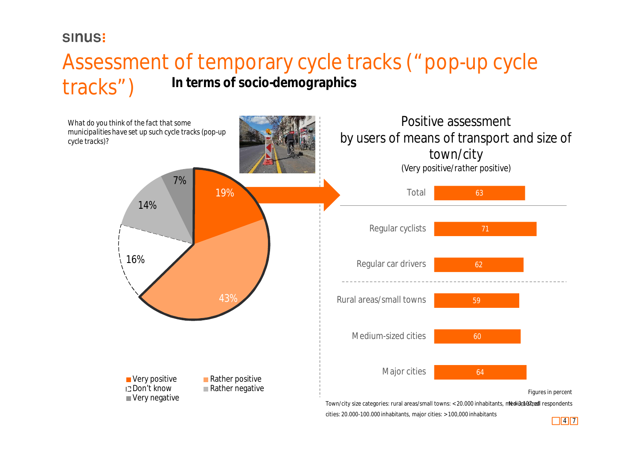### Assessment of temporary cycle tracks ("pop-up cycle tracks") **In terms of socio-demographics**



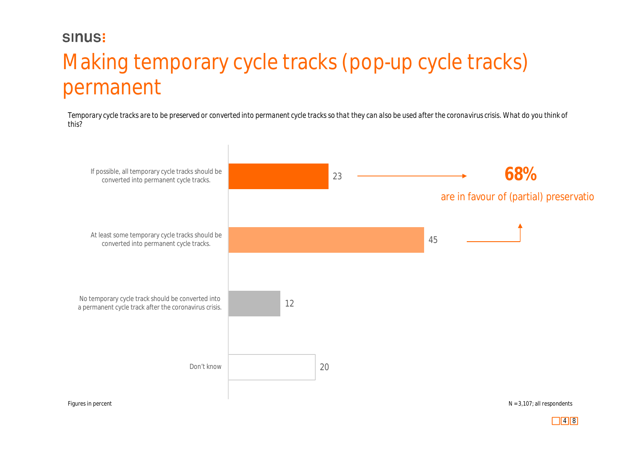### Making temporary cycle tracks (pop-up cycle tracks) permanent

*Temporary cycle tracks are to be preserved or converted into permanent cycle tracks so that they can also be used after the coronavirus crisis. What do you think of this?*

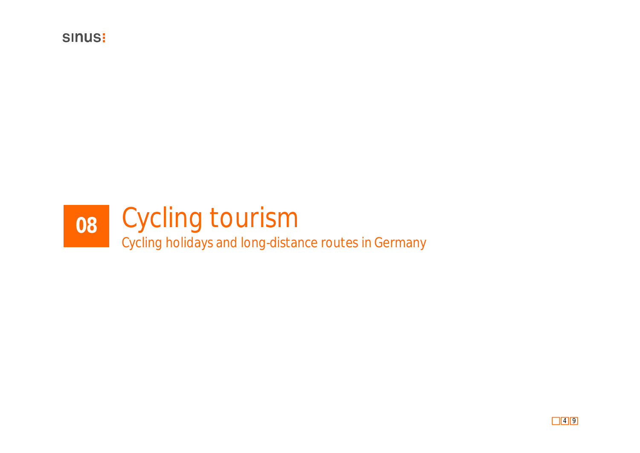

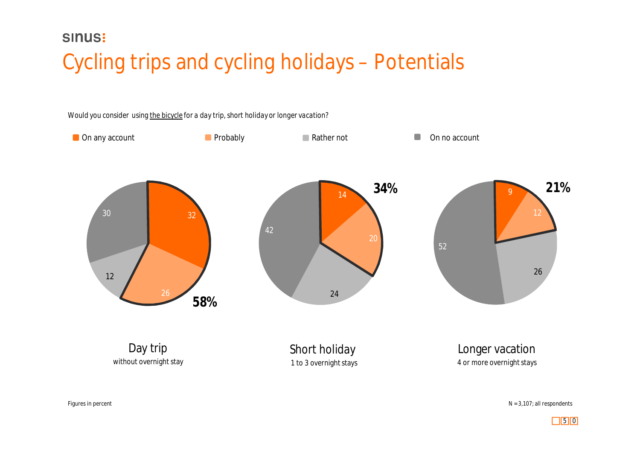### Cycling trips and cycling holidays – Potentials



 $N = 3,107$ ; all respondents

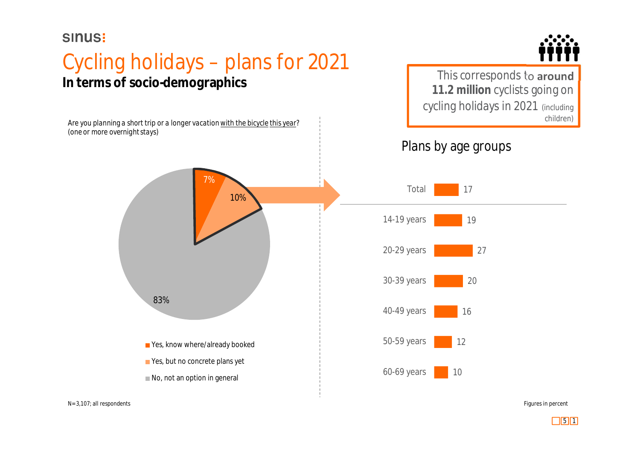*(one or more overnight stays)*

### Cycling holidays – plans for 2021 **In terms of socio-demographics**



This corresponds to **around 11.2 million** cyclists going on cycling holidays in 2021 (including Are you planning a short trip or a longer vacation with the bicycle this year?

#### Plans by age groups

27

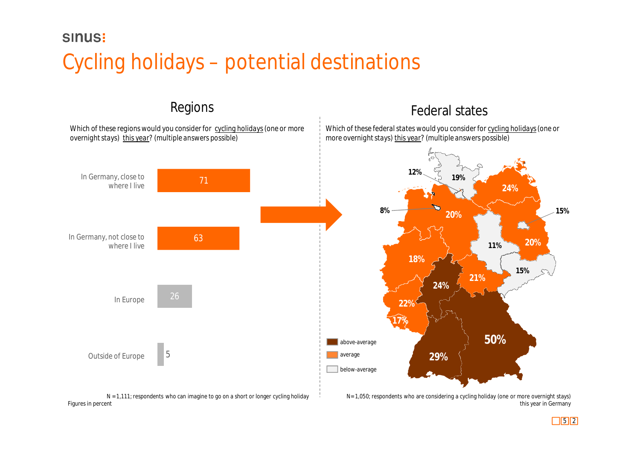### **SINUS:** Cycling holidays – potential destinations

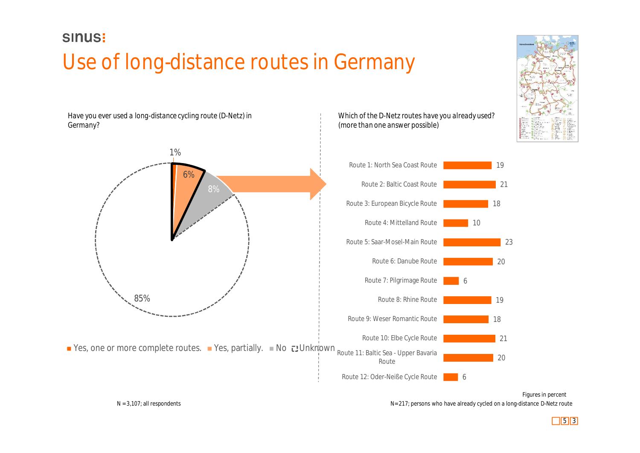### Use of long-distance routes in Germany

*Have you ever used a long-distance cycling route (D-Netz) in Germany?*



#### *Which of the D-Netz routes have you already used? (more than one answer possible)*



6

 $N = 3,107$ ; all respondents Next route  $N = 217$ ; persons who have already cycled on a long-distance D-Netz route Figures in percent

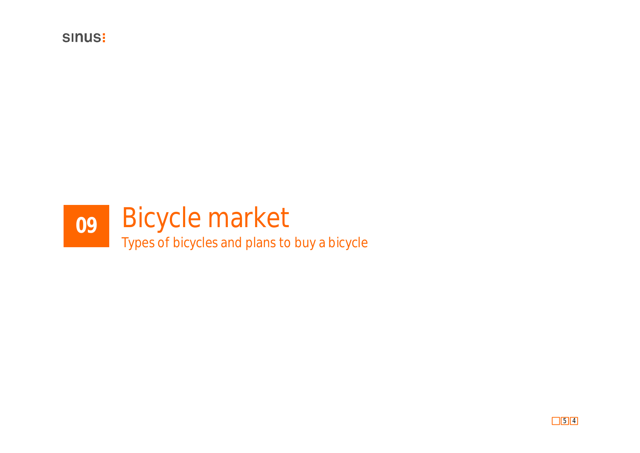

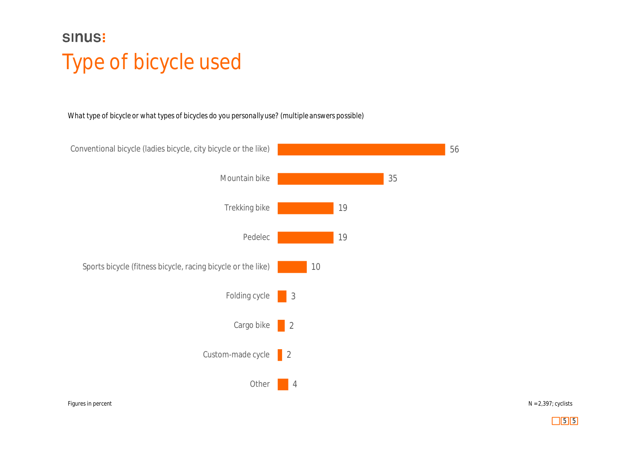### **SINUS:** Type of bicycle used

*What type of bicycle or what types of bicycles do you personally use? (multiple answers possible)*



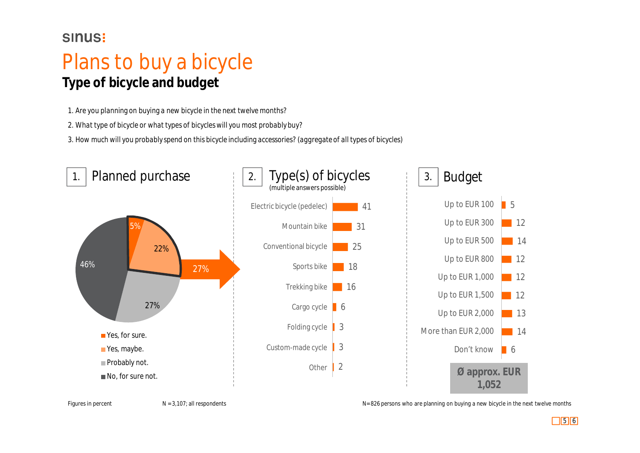### Plans to buy a bicycle **Type of bicycle and budget**

*1. Are you planning on buying a new bicycle in the next twelve months?*

*2. What type of bicycle or what types of bicycles will you most probably buy?*

*3. How much will you probably spend on this bicycle including accessories? (aggregate of all types of bicycles)*



Figures in percent

N = 3,107; all respondents N= 826 persons who are planning on buying a new bicycle in the next twelve months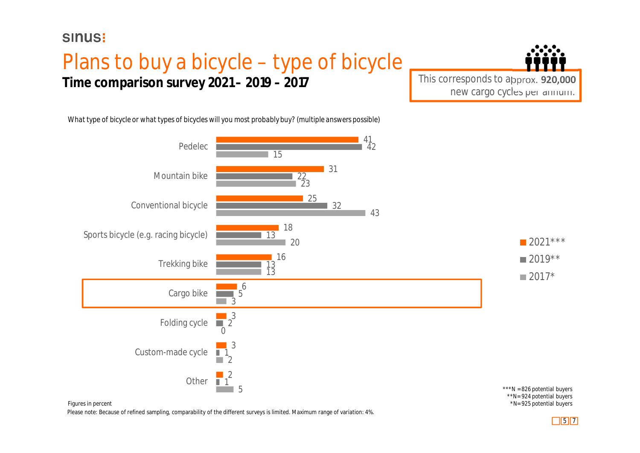### Plans to buy a bicycle – type of bicycle **Time comparison survey 2021 – 2019 – 2017**



*What type of bicycle or what types of bicycles will you most probably buy? (multiple answers possible)*



Please note: Because of refined sampling, comparability of the different surveys is limited. Maximum range of variation: 4%.

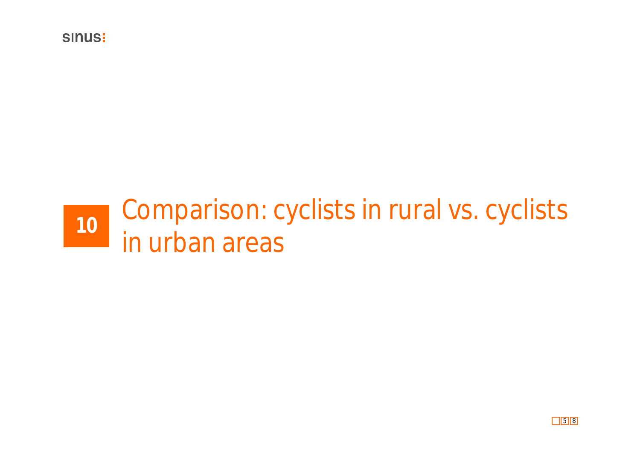**SINUS!** 

## Comparison: cyclists in rural vs. cyclists in urban areas **<sup>10</sup>**

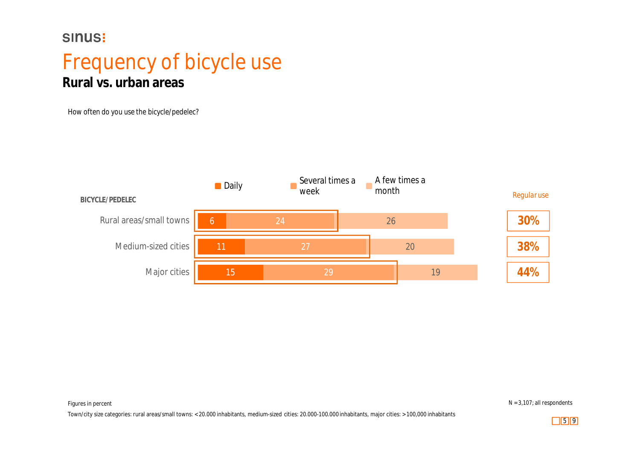### Frequency of bicycle use **Rural vs. urban areas**

*How often do you use the bicycle/pedelec?*



Figures in percent N = 3,107; all respondents

Town/city size categories: rural areas/small towns: < 20.000 inhabitants, medium-sized cities: 20.000-100.000 inhabitants, major cities: > 100,000 inhabitants

 $\begin{array}{|c|c|c|c|c|} \hline 5 & 9 \\ \hline \end{array}$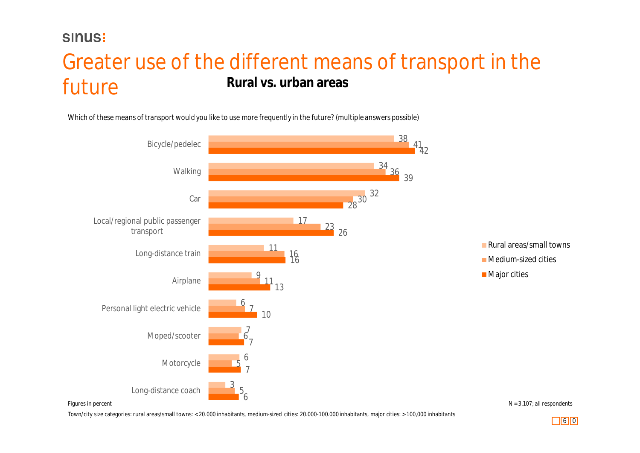#### Greater use of the different means of transport in the future **Rural vs. urban areas**

*Which of these means of transport would you like to use more frequently in the future? (multiple answers possible)*



Town/city size categories: rural areas/small towns: < 20.000 inhabitants, medium-sized cities: 20.000-100.000 inhabitants, major cities: > 100,000 inhabitants

 $\Box$ 6 0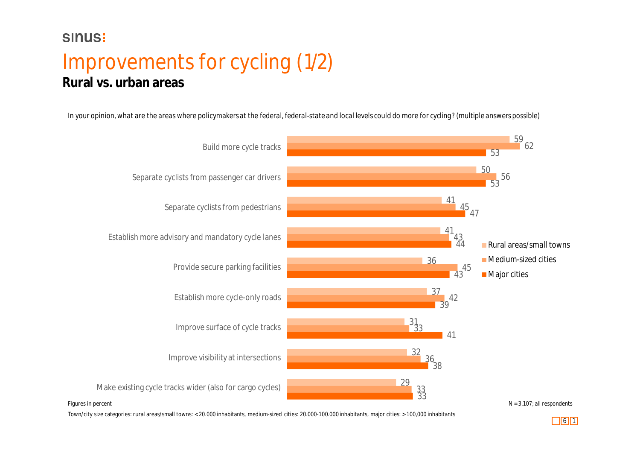### Improvements for cycling (1/2) **Rural vs. urban areas**

*In your opinion, what are the areas where policymakers at the federal, federal-state and local levels could do more for cycling? (multiple answers possible)*



 $\Box$ 6 1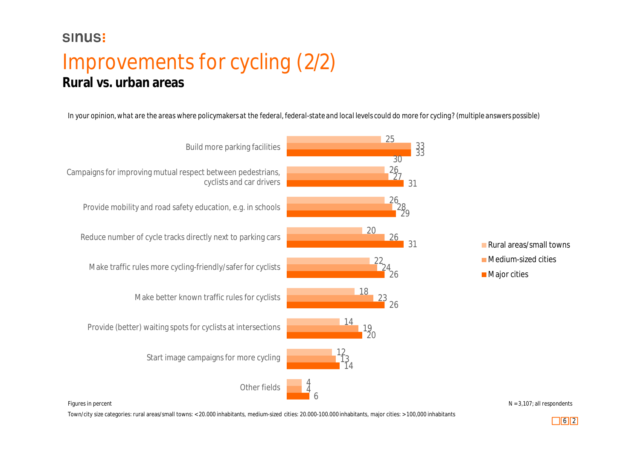### Improvements for cycling (2/2) **Rural vs. urban areas**

*In your opinion, what are the areas where policymakers at the federal, federal-state and local levels could do more for cycling? (multiple answers possible)*



Town/city size categories: rural areas/small towns: < 20.000 inhabitants, medium-sized cities: 20.000-100.000 inhabitants, major cities: > 100,000 inhabitants

 $N = 3,107$ ; all respondents

6 2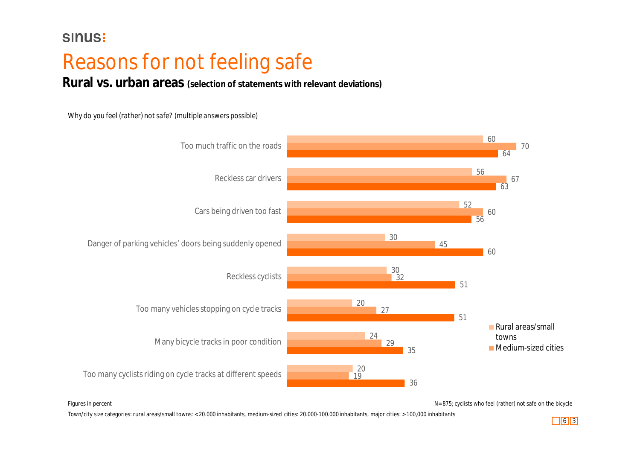### Reasons for not feeling safe

**Rural vs. urban areas (selection of statements with relevant deviations)**

#### *Why do you feel (rather) not safe? (multiple answers possible)*



Figures in percent **N**= 875; cyclists who feel (rather) not safe on the bicycle

Town/city size categories: rural areas/small towns: < 20.000 inhabitants, medium-sized cities: 20.000-100.000 inhabitants, major cities: > 100,000 inhabitants

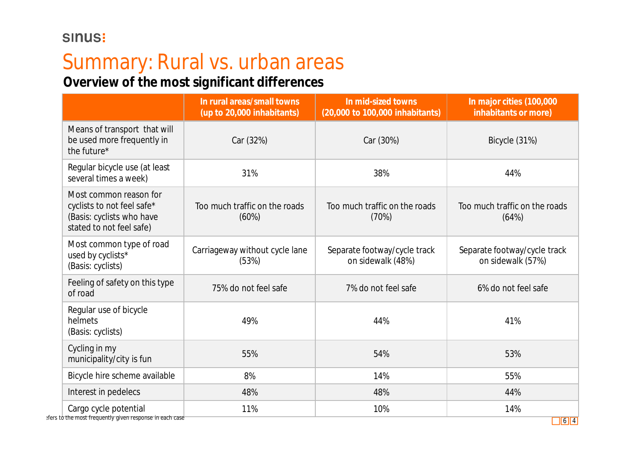## Summary: Rural vs. urban areas

**Overview of the most significant differences**

|                                                                                                               | In rural areas/small towns<br>(up to 20,000 inhabitants) | In mid-sized towns<br>(20,000 to 100,000 inhabitants) | In major cities (100,000<br>inhabitants or more)  |  |
|---------------------------------------------------------------------------------------------------------------|----------------------------------------------------------|-------------------------------------------------------|---------------------------------------------------|--|
| Means of transport that will<br>be used more frequently in<br>the future*                                     | Car (32%)                                                | Car (30%)                                             | Bicycle (31%)                                     |  |
| Regular bicycle use (at least<br>several times a week)                                                        | 31%                                                      | 38%                                                   | 44%                                               |  |
| Most common reason for<br>cyclists to not feel safe*<br>(Basis: cyclists who have<br>stated to not feel safe) | Too much traffic on the roads<br>(60%)                   | Too much traffic on the roads<br>(70%)                | Too much traffic on the roads<br>(64%)            |  |
| Most common type of road<br>used by cyclists*<br>(Basis: cyclists)                                            | Carriageway without cycle lane<br>(53%)                  | Separate footway/cycle track<br>on sidewalk (48%)     | Separate footway/cycle track<br>on sidewalk (57%) |  |
| Feeling of safety on this type<br>of road                                                                     | 75% do not feel safe                                     | 7% do not feel safe                                   | 6% do not feel safe                               |  |
| Regular use of bicycle<br>helmets<br>(Basis: cyclists)                                                        | 49%                                                      | 44%                                                   | 41%                                               |  |
| Cycling in my<br>55%<br>municipality/city is fun                                                              |                                                          | 54%                                                   | 53%                                               |  |
| Bicycle hire scheme available                                                                                 | 8%                                                       | 14%                                                   | 55%                                               |  |
| Interest in pedelecs                                                                                          | 48%                                                      | 48%                                                   | 44%                                               |  |
| Cargo cycle potential<br>efers to the most frequently given response in each case                             | 11%                                                      | 10%                                                   | 14%                                               |  |